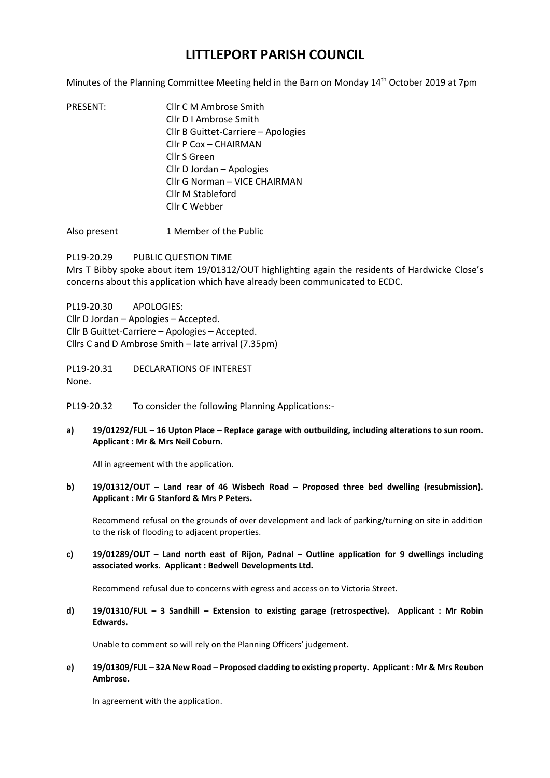## **LITTLEPORT PARISH COUNCIL**

Minutes of the Planning Committee Meeting held in the Barn on Monday 14<sup>th</sup> October 2019 at 7pm

- PRESENT: Cllr C M Ambrose Smith Cllr D I Ambrose Smith Cllr B Guittet-Carriere – Apologies Cllr P Cox – CHAIRMAN Cllr S Green Cllr D Jordan – Apologies Cllr G Norman – VICE CHAIRMAN Cllr M Stableford Cllr C Webber
- Also present 1 Member of the Public

PL19-20.29 PUBLIC QUESTION TIME Mrs T Bibby spoke about item 19/01312/OUT highlighting again the residents of Hardwicke Close's concerns about this application which have already been communicated to ECDC.

PL19-20.30 APOLOGIES: Cllr D Jordan – Apologies – Accepted. Cllr B Guittet-Carriere – Apologies – Accepted. Cllrs C and D Ambrose Smith – late arrival (7.35pm)

PL19-20.31 DECLARATIONS OF INTEREST None.

PL19-20.32 To consider the following Planning Applications:-

**a) 19/01292/FUL – 16 Upton Place – Replace garage with outbuilding, including alterations to sun room. Applicant : Mr & Mrs Neil Coburn.**

All in agreement with the application.

**b) 19/01312/OUT – Land rear of 46 Wisbech Road – Proposed three bed dwelling (resubmission). Applicant : Mr G Stanford & Mrs P Peters.**

Recommend refusal on the grounds of over development and lack of parking/turning on site in addition to the risk of flooding to adjacent properties.

**c) 19/01289/OUT – Land north east of Rijon, Padnal – Outline application for 9 dwellings including associated works. Applicant : Bedwell Developments Ltd.**

Recommend refusal due to concerns with egress and access on to Victoria Street.

**d) 19/01310/FUL – 3 Sandhill – Extension to existing garage (retrospective). Applicant : Mr Robin Edwards.**

Unable to comment so will rely on the Planning Officers' judgement.

**e) 19/01309/FUL – 32A New Road – Proposed cladding to existing property. Applicant : Mr & Mrs Reuben Ambrose.**

In agreement with the application.